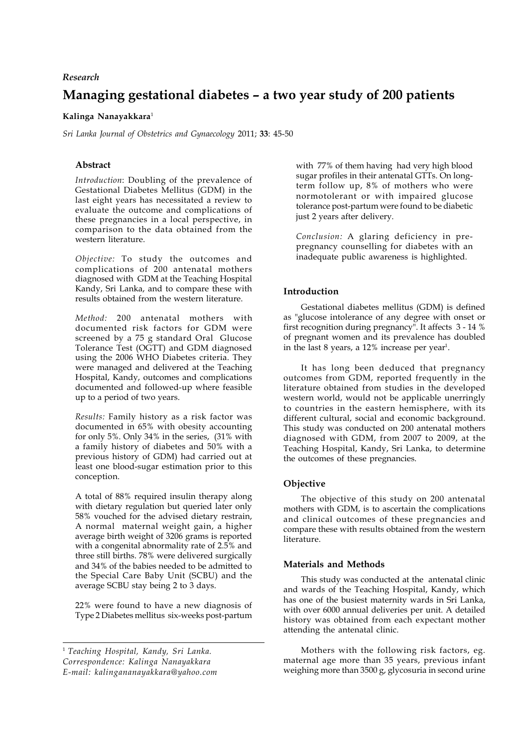# *Research*

# **Managing gestational diabetes – a two year study of 200 patients**

# **Kalinga Nanayakkara**<sup>1</sup>

*Sri Lanka Journal of Obstetrics and Gynaecology* 2011; **33**: 45-50

# **Abstract**

*Introduction*: Doubling of the prevalence of Gestational Diabetes Mellitus (GDM) in the last eight years has necessitated a review to evaluate the outcome and complications of these pregnancies in a local perspective, in comparison to the data obtained from the western literature.

*Objective:* To study the outcomes and complications of 200 antenatal mothers diagnosed with GDM at the Teaching Hospital Kandy, Sri Lanka, and to compare these with results obtained from the western literature.

*Method:* 200 antenatal mothers with documented risk factors for GDM were screened by a 75 g standard Oral Glucose Tolerance Test (OGTT) and GDM diagnosed using the 2006 WHO Diabetes criteria. They were managed and delivered at the Teaching Hospital, Kandy, outcomes and complications documented and followed-up where feasible up to a period of two years.

*Results:* Family history as a risk factor was documented in 65% with obesity accounting for only 5%. Only 34% in the series, (31% with a family history of diabetes and 50% with a previous history of GDM) had carried out at least one blood-sugar estimation prior to this conception.

A total of 88% required insulin therapy along with dietary regulation but queried later only 58% vouched for the advised dietary restrain, A normal maternal weight gain, a higher average birth weight of 3206 grams is reported with a congenital abnormality rate of 2.5% and three still births. 78% were delivered surgically and 34% of the babies needed to be admitted to the Special Care Baby Unit (SCBU) and the average SCBU stay being 2 to 3 days.

22% were found to have a new diagnosis of Type 2 Diabetes mellitus six-weeks post-partum

<sup>1</sup> *Teaching Hospital, Kandy, Sri Lanka. Correspondence: Kalinga Nanayakkara E-mail: kalingananayakkara@yahoo.com* with 77% of them having had very high blood sugar profiles in their antenatal GTTs. On longterm follow up, 8% of mothers who were normotolerant or with impaired glucose tolerance post-partum were found to be diabetic just 2 years after delivery.

*Conclusion:* A glaring deficiency in prepregnancy counselling for diabetes with an inadequate public awareness is highlighted.

## **Introduction**

Gestational diabetes mellitus (GDM) is defined as "glucose intolerance of any degree with onset or first recognition during pregnancy". It affects 3 - 14 % of pregnant women and its prevalence has doubled in the last 8 years, a 12% increase per year<sup>1</sup>.

It has long been deduced that pregnancy outcomes from GDM, reported frequently in the literature obtained from studies in the developed western world, would not be applicable unerringly to countries in the eastern hemisphere, with its different cultural, social and economic background. This study was conducted on 200 antenatal mothers diagnosed with GDM, from 2007 to 2009, at the Teaching Hospital, Kandy, Sri Lanka, to determine the outcomes of these pregnancies.

## **Objective**

The objective of this study on 200 antenatal mothers with GDM, is to ascertain the complications and clinical outcomes of these pregnancies and compare these with results obtained from the western literature.

## **Materials and Methods**

This study was conducted at the antenatal clinic and wards of the Teaching Hospital, Kandy, which has one of the busiest maternity wards in Sri Lanka, with over 6000 annual deliveries per unit. A detailed history was obtained from each expectant mother attending the antenatal clinic.

Mothers with the following risk factors, eg. maternal age more than 35 years, previous infant weighing more than 3500 g, glycosuria in second urine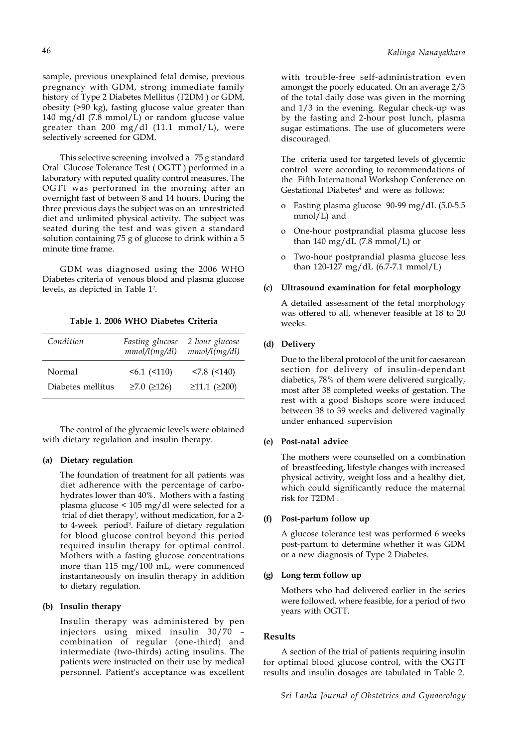sample, previous unexplained fetal demise, previous pregnancy with GDM, strong immediate family history of Type 2 Diabetes Mellitus (T2DM ) or GDM, obesity (>90 kg), fasting glucose value greater than 140 mg/dl (7.8 mmol/L) or random glucose value greater than 200 mg/dl (11.1 mmol/L), were selectively screened for GDM.

This selective screening involved a 75 g standard Oral Glucose Tolerance Test ( OGTT ) performed in a laboratory with reputed quality control measures. The OGTT was performed in the morning after an overnight fast of between 8 and 14 hours. During the three previous days the subject was on an unrestricted diet and unlimited physical activity. The subject was seated during the test and was given a standard solution containing 75 g of glucose to drink within a 5 minute time frame.

GDM was diagnosed using the 2006 WHO Diabetes criteria of venous blood and plasma glucose levels, as depicted in Table 1<sup>2</sup>.

**Table 1. 2006 WHO Diabetes Criteria**

| Condition         | Fasting glucose<br>mmol/l(mg/dl) | 2 hour glucose<br>mmol/l(mg/dl) |
|-------------------|----------------------------------|---------------------------------|
| Normal            | $56.1$ ( $510$ )                 | $< 7.8$ ( $< 140$ )             |
| Diabetes mellitus | $≥7.0$ ( $≥126$ )                | $\geq 11.1$ ( $\geq 200$ )      |

The control of the glycaemic levels were obtained with dietary regulation and insulin therapy.

### **(a) Dietary regulation**

The foundation of treatment for all patients was diet adherence with the percentage of carbohydrates lower than 40%. Mothers with a fasting plasma glucose < 105 mg/dl were selected for a 'trial of diet therapy', without medication, for a 2 to 4-week period<sup>3</sup>. Failure of dietary regulation for blood glucose control beyond this period required insulin therapy for optimal control. Mothers with a fasting glucose concentrations more than 115 mg/100 mL, were commenced instantaneously on insulin therapy in addition to dietary regulation.

### **(b) Insulin therapy**

Insulin therapy was administered by pen injectors using mixed insulin 30/70 – combination of regular (one-third) and intermediate (two-thirds) acting insulins. The patients were instructed on their use by medical personnel. Patient's acceptance was excellent with trouble-free self-administration even amongst the poorly educated. On an average 2/3 of the total daily dose was given in the morning and 1/3 in the evening. Regular check-up was by the fasting and 2-hour post lunch, plasma sugar estimations. The use of glucometers were discouraged.

The criteria used for targeted levels of glycemic control were according to recommendations of the Fifth International Workshop Conference on Gestational Diabetes<sup>4</sup> and were as follows:

- o Fasting plasma glucose 90-99 mg/dL (5.0-5.5 mmol/L) and
- One-hour postprandial plasma glucose less than 140 mg/dL  $(7.8 \text{ mmol/L})$  or
- Two-hour postprandial plasma glucose less than 120-127 mg/dL (6.7-7.1 mmol/L)

### **(c) Ultrasound examination for fetal morphology**

A detailed assessment of the fetal morphology was offered to all, whenever feasible at 18 to 20 weeks.

### **(d) Delivery**

Due to the liberal protocol of the unit for caesarean section for delivery of insulin-dependant diabetics, 78% of them were delivered surgically, most after 38 completed weeks of gestation. The rest with a good Bishops score were induced between 38 to 39 weeks and delivered vaginally under enhanced supervision

### **(e) Post-natal advice**

The mothers were counselled on a combination of breastfeeding, lifestyle changes with increased physical activity, weight loss and a healthy diet, which could significantly reduce the maternal risk for T2DM .

### **(f) Post-partum follow up**

A glucose tolerance test was performed 6 weeks post-partum to determine whether it was GDM or a new diagnosis of Type 2 Diabetes.

#### **(g) Long term follow up**

Mothers who had delivered earlier in the series were followed, where feasible, for a period of two years with OGTT.

#### **Results**

A section of the trial of patients requiring insulin for optimal blood glucose control, with the OGTT results and insulin dosages are tabulated in Table 2.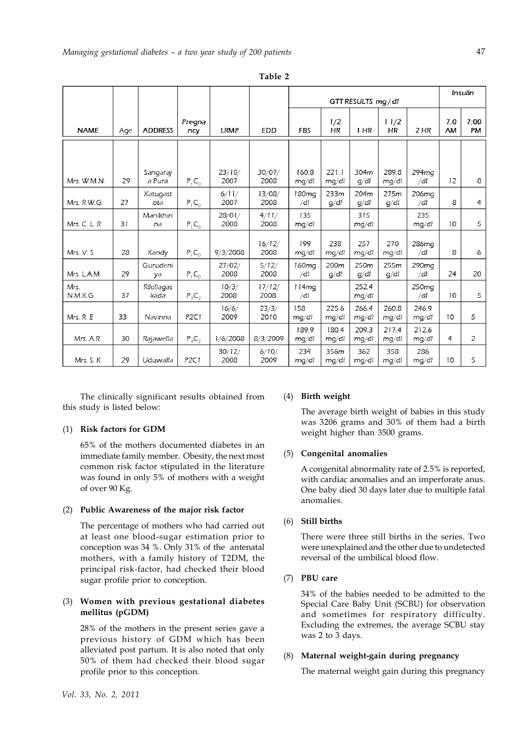|                  |     |                    |                  |                |                | GTT RESULTS mg/dl        |                |                |                   | Insulin         |                  |                   |
|------------------|-----|--------------------|------------------|----------------|----------------|--------------------------|----------------|----------------|-------------------|-----------------|------------------|-------------------|
| <b>NAME</b>      | Aqe | <b>ADDRESS</b>     | Pregna<br>ncy    | <b>LRMP</b>    | <b>EDD</b>     | <b>FBS</b>               | 1/2<br>HR.     | 1 HR           | 11/2<br><b>HR</b> | 2 <sub>HR</sub> | 7.0<br><b>AM</b> | 7:00<br><b>PM</b> |
|                  |     |                    |                  |                |                |                          |                |                |                   |                 |                  |                   |
| Mrs. W.M.N.      | 29  | Sangaraj<br>a Pura | $P_1C_0$         | 23/10/<br>2007 | 30/07/<br>2008 | 160.8<br>mq/dl           | 221.1<br>mq/dl | 304m<br>q/dl   | 289.8<br>mq/dl    | 294ma<br>/dl    | 12               | 8                 |
| Mrs. R.W.G.      | 27  | Katuqast<br>ota    | $P_1C_0$         | 6/11/<br>2007  | 13/08/<br>2008 | 180mg<br>/dl             | 233m<br>q/dl   | 204m<br>q/dl   | 275m<br>q/dl      | 206ma<br>/dl    | 8                | $\overline{4}$    |
| $Mrs$ . C. L. R. | 31  | Manikhin<br>na     | $P_1C_0$         | 28/01/<br>2008 | 4/11/<br>2008  | 135<br>ma/dl             |                | 315<br>mq/dl   |                   | 235<br>mg/dl    | 10               | 5                 |
| Mrs. V. S        | 28  | Kandy              | $P_1C_0$         | 9/3/2008       | 16/12/<br>2008 | 199<br>mq/dl             | 238<br>mq/dl   | 257<br>mq/dl   | 270<br>mg/dl      | 286ma<br>/dl    | 8                | 6                 |
| Mrs. L.A.M.      | 29  | Gurudeni<br>va     | $P_1C_0$         | 27/02/<br>2008 | 5/12/<br>2008  | 160mg<br>/dl             | 200m<br>q/dl   | 250m<br>q/dl   | 255m<br>q/dl      | 290ma<br>/dl    | 24               | 20                |
| Mrs.<br>N.M.K.G. | 37  | Rikillagas<br>kada | $P_3C_2$         | 10/3/<br>2008  | 17/12/<br>2008 | 114 <sub>ma</sub><br>/dl |                | 252.4<br>mg/dl |                   | 250mg<br>/dl    | 10               | 5                 |
| Mrs. R. E        | 33  | Navinna            | P <sub>2C1</sub> | 16/6/<br>2009  | 23/3/<br>2010  | 158<br>ma/dl             | 225.6<br>mq/dl | 266.4<br>mq/dl | 260.8<br>mg/dl    | 246.9<br>mq/dl  | 10               | 5                 |
| Mrs. A.R.        | 30  | Rajawella          | $P_4C_2$         | 1/6/2008       | 8/3/2009       | 189.9<br>mq/dl           | 180.4<br>mq/dl | 209.3<br>mg/dl | 217.4<br>mg/dl    | 212.6<br>mq/dl  | 4                | 2                 |
| Mrs. S. K        | 29  | Uduwalla           | P <sub>2C1</sub> | 30/12/<br>2008 | 6/10/<br>2009  | 234<br>mq/dl             | 356m<br>mq/dl  | 362<br>mq/dl   | 358<br>mg/dl      | 286<br>mq/dl    | 10               | 5                 |

**Table 2**

The clinically significant results obtained from this study is listed below:

### (1) **Risk factors for GDM**

65% of the mothers documented diabetes in an immediate family member. Obesity, the next most common risk factor stipulated in the literature was found in only 5% of mothers with a weight of over 90 Kg.

### (2) **Public Awareness of the major risk factor**

The percentage of mothers who had carried out at least one blood-sugar estimation prior to conception was 34 %. Only 31% of the antenatal mothers, with a family history of T2DM, the principal risk-factor, had checked their blood sugar profile prior to conception.

# (3) **Women with previous gestational diabetes mellitus (pGDM)**

28% of the mothers in the present series gave a previous history of GDM which has been alleviated post partum. It is also noted that only 50% of them had checked their blood sugar profile prior to this conception.

### (4) **Birth weight**

The average birth weight of babies in this study was 3206 grams and 30% of them had a birth weight higher than 3500 grams.

## (5) **Congenital anomalies**

A congenital abnormality rate of 2.5% is reported, with cardiac anomalies and an imperforate anus. One baby died 30 days later due to multiple fatal anomalies.

# (6) **Still births**

There were three still births in the series. Two were unexplained and the other due to undetected reversal of the umbilical blood flow.

# (7) **PBU care**

34% of the babies needed to be admitted to the Special Care Baby Unit (SCBU) for observation and sometimes for respiratory difficulty. Excluding the extremes, the average SCBU stay was 2 to 3 days.

# (8) **Maternal weight-gain during pregnancy**

The maternal weight gain during this pregnancy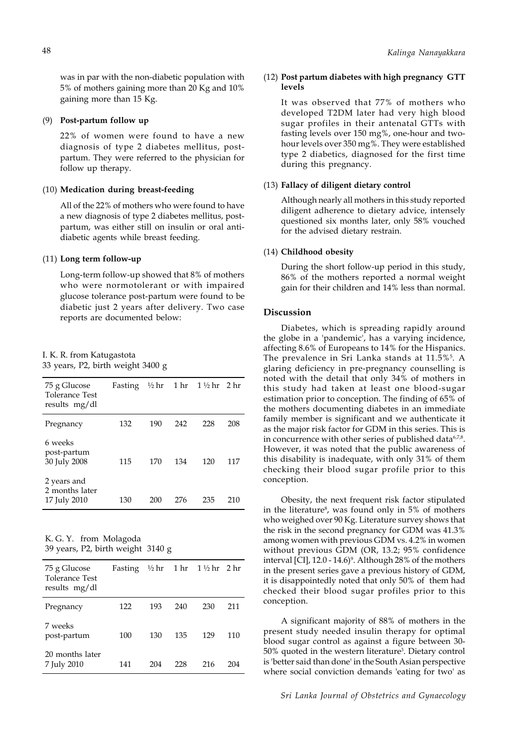was in par with the non-diabetic population with 5% of mothers gaining more than 20 Kg and 10% gaining more than 15 Kg.

#### (9) **Post-partum follow up**

22% of women were found to have a new diagnosis of type 2 diabetes mellitus, postpartum. They were referred to the physician for follow up therapy.

### (10) **Medication during breast-feeding**

All of the 22% of mothers who were found to have a new diagnosis of type 2 diabetes mellitus, postpartum, was either still on insulin or oral antidiabetic agents while breast feeding.

### (11) **Long term follow-up**

Long-term follow-up showed that 8% of mothers who were normotolerant or with impaired glucose tolerance post-partum were found to be diabetic just 2 years after delivery. Two case reports are documented below:

| I. K. R. from Katugastota |  |                                   |  |
|---------------------------|--|-----------------------------------|--|
|                           |  | 33 years, P2, birth weight 3400 g |  |

| 75 g Glucose<br><b>Tolerance Test</b><br>results mg/dl | Fasting |     |     | $\frac{1}{2}$ hr 1½ hr 2 hr |     |
|--------------------------------------------------------|---------|-----|-----|-----------------------------|-----|
| Pregnancy                                              | 132     | 190 | 242 | 228                         | 208 |
| 6 weeks<br>post-partum<br>30 July 2008                 | 115     | 170 | 134 | 120                         | 117 |
| 2 years and<br>2 months later<br>17 July 2010          | 130     | 200 | 276 | 235                         | 210 |

K. G. Y. from Molagoda 39 years, P2, birth weight 3140 g

| 75 g Glucose<br>Tolerance Test<br>results mg/dl | Fasting $\frac{1}{2}$ hr 1 hr 1 ½ hr 2 hr |     |     |     |     |
|-------------------------------------------------|-------------------------------------------|-----|-----|-----|-----|
| Pregnancy                                       | 122                                       | 193 | 240 | 230 | 211 |
| 7 weeks<br>post-partum                          | 100                                       | 130 | 135 | 129 | 110 |
| 20 months later<br>7 July 2010                  | 141                                       | 204 | 228 | 216 | 204 |

### (12) **Post partum diabetes with high pregnancy GTT levels**

It was observed that 77% of mothers who developed T2DM later had very high blood sugar profiles in their antenatal GTTs with fasting levels over 150 mg%, one-hour and twohour levels over 350 mg%. They were established type 2 diabetics, diagnosed for the first time during this pregnancy.

### (13) **Fallacy of diligent dietary control**

Although nearly all mothers in this study reported diligent adherence to dietary advice, intensely questioned six months later, only 58% vouched for the advised dietary restrain.

### (14) **Childhood obesity**

During the short follow-up period in this study, 86% of the mothers reported a normal weight gain for their children and 14% less than normal.

# **Discussion**

Diabetes, which is spreading rapidly around the globe in a 'pandemic', has a varying incidence, affecting 8.6% of Europeans to 14% for the Hispanics. The prevalence in Sri Lanka stands at 11.5%<sup>5</sup>. A glaring deficiency in pre-pregnancy counselling is noted with the detail that only 34% of mothers in this study had taken at least one blood-sugar estimation prior to conception. The finding of 65% of the mothers documenting diabetes in an immediate family member is significant and we authenticate it as the major risk factor for GDM in this series. This is in concurrence with other series of published data<sup>6,7,8</sup>. However, it was noted that the public awareness of this disability is inadequate, with only 31% of them checking their blood sugar profile prior to this conception.

Obesity, the next frequent risk factor stipulated in the literature<sup>8</sup>, was found only in 5% of mothers who weighed over 90 Kg. Literature survey shows that the risk in the second pregnancy for GDM was 41.3% among women with previous GDM vs. 4.2% in women without previous GDM (OR, 13.2; 95% confidence interval [CI], 12.0 - 14.6)°. Although 28% of the mothers in the present series gave a previous history of GDM, it is disappointedly noted that only 50% of them had checked their blood sugar profiles prior to this conception.

A significant majority of 88% of mothers in the present study needed insulin therapy for optimal blood sugar control as against a figure between 30- 50% quoted in the western literature<sup>3</sup>. Dietary control is 'better said than done' in the South Asian perspective where social conviction demands 'eating for two' as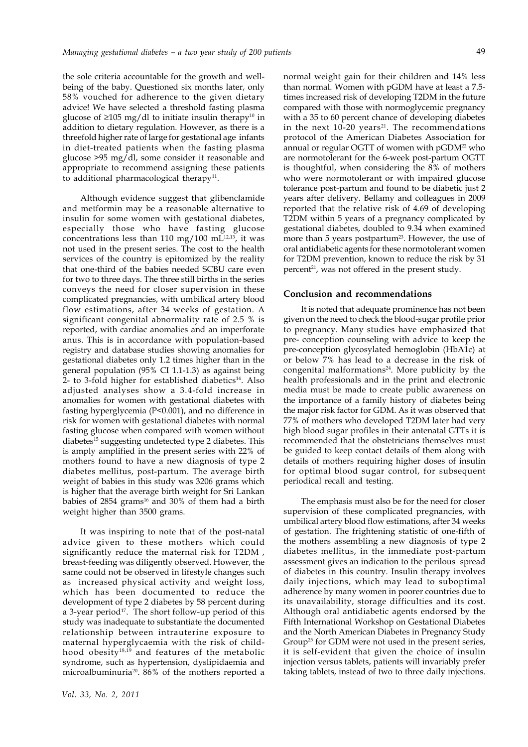the sole criteria accountable for the growth and wellbeing of the baby. Questioned six months later, only 58% vouched for adherence to the given dietary advice! We have selected a threshold fasting plasma glucose of ≥105 mg/dl to initiate insulin therapy<sup>10</sup> in addition to dietary regulation. However, as there is a threefold higher rate of large for gestational age infants in diet-treated patients when the fasting plasma glucose >95 mg/dl, some consider it reasonable and appropriate to recommend assigning these patients to additional pharmacological therapy<sup>11</sup>.

Although evidence suggest that glibenclamide and metformin may be a reasonable alternative to insulin for some women with gestational diabetes, especially those who have fasting glucose concentrations less than 110 mg/100 mL $^{12,13}$ , it was not used in the present series. The cost to the health services of the country is epitomized by the reality that one-third of the babies needed SCBU care even for two to three days. The three still births in the series conveys the need for closer supervision in these complicated pregnancies, with umbilical artery blood flow estimations, after 34 weeks of gestation. A significant congenital abnormality rate of 2.5 % is reported, with cardiac anomalies and an imperforate anus. This is in accordance with population-based registry and database studies showing anomalies for gestational diabetes only 1.2 times higher than in the general population (95% CI 1.1-1.3) as against being 2- to 3-fold higher for established diabetics $14$ . Also adjusted analyses show a 3.4-fold increase in anomalies for women with gestational diabetes with fasting hyperglycemia (P<0.001), and no difference in risk for women with gestational diabetes with normal fasting glucose when compared with women without diabetes<sup>15</sup> suggesting undetected type 2 diabetes. This is amply amplified in the present series with 22% of mothers found to have a new diagnosis of type 2 diabetes mellitus, post-partum. The average birth weight of babies in this study was 3206 grams which is higher that the average birth weight for Sri Lankan babies of  $2854$  grams<sup>16</sup> and  $30\%$  of them had a birth weight higher than 3500 grams.

It was inspiring to note that of the post-natal advice given to these mothers which could significantly reduce the maternal risk for T2DM , breast-feeding was diligently observed. However, the same could not be observed in lifestyle changes such as increased physical activity and weight loss, which has been documented to reduce the development of type 2 diabetes by 58 percent during a 3-year period<sup>17</sup>. The short follow-up period of this study was inadequate to substantiate the documented relationship between intrauterine exposure to maternal hyperglycaemia with the risk of childhood obesity18,19 and features of the metabolic syndrome, such as hypertension, dyslipidaemia and microalbuminuria20. 86% of the mothers reported a

normal weight gain for their children and 14% less than normal. Women with pGDM have at least a 7.5 times increased risk of developing T2DM in the future compared with those with normoglycemic pregnancy with a 35 to 60 percent chance of developing diabetes in the next  $10-20$  years<sup>21</sup>. The recommendations protocol of the American Diabetes Association for annual or regular OGTT of women with pGDM<sup>22</sup> who are normotolerant for the 6-week post-partum OGTT is thoughtful, when considering the 8% of mothers who were normotolerant or with impaired glucose tolerance post-partum and found to be diabetic just 2 years after delivery. Bellamy and colleagues in 2009 reported that the relative risk of 4.69 of developing T2DM within 5 years of a pregnancy complicated by gestational diabetes, doubled to 9.34 when examined more than 5 years postpartum<sup>23</sup>. However, the use of oral antidiabetic agents for these normotolerant women for T2DM prevention, known to reduce the risk by 31 percent<sup>21</sup>, was not offered in the present study.

#### **Conclusion and recommendations**

It is noted that adequate prominence has not been given on the need to check the blood-sugar profile prior to pregnancy. Many studies have emphasized that pre- conception counseling with advice to keep the pre-conception glycosylated hemoglobin (HbA1c) at or below 7% has lead to a decrease in the risk of congenital malformations<sup>24</sup>. More publicity by the health professionals and in the print and electronic media must be made to create public awareness on the importance of a family history of diabetes being the major risk factor for GDM. As it was observed that 77% of mothers who developed T2DM later had very high blood sugar profiles in their antenatal GTTs it is recommended that the obstetricians themselves must be guided to keep contact details of them along with details of mothers requiring higher doses of insulin for optimal blood sugar control, for subsequent periodical recall and testing.

The emphasis must also be for the need for closer supervision of these complicated pregnancies, with umbilical artery blood flow estimations, after 34 weeks of gestation. The frightening statistic of one-fifth of the mothers assembling a new diagnosis of type 2 diabetes mellitus, in the immediate post-partum assessment gives an indication to the perilous spread of diabetes in this country. Insulin therapy involves daily injections, which may lead to suboptimal adherence by many women in poorer countries due to its unavailability, storage difficulties and its cost. Although oral antidiabetic agents endorsed by the Fifth International Workshop on Gestational Diabetes and the North American Diabetes in Pregnancy Study Group<sup>25</sup> for GDM were not used in the present series, it is self-evident that given the choice of insulin injection versus tablets, patients will invariably prefer taking tablets, instead of two to three daily injections.